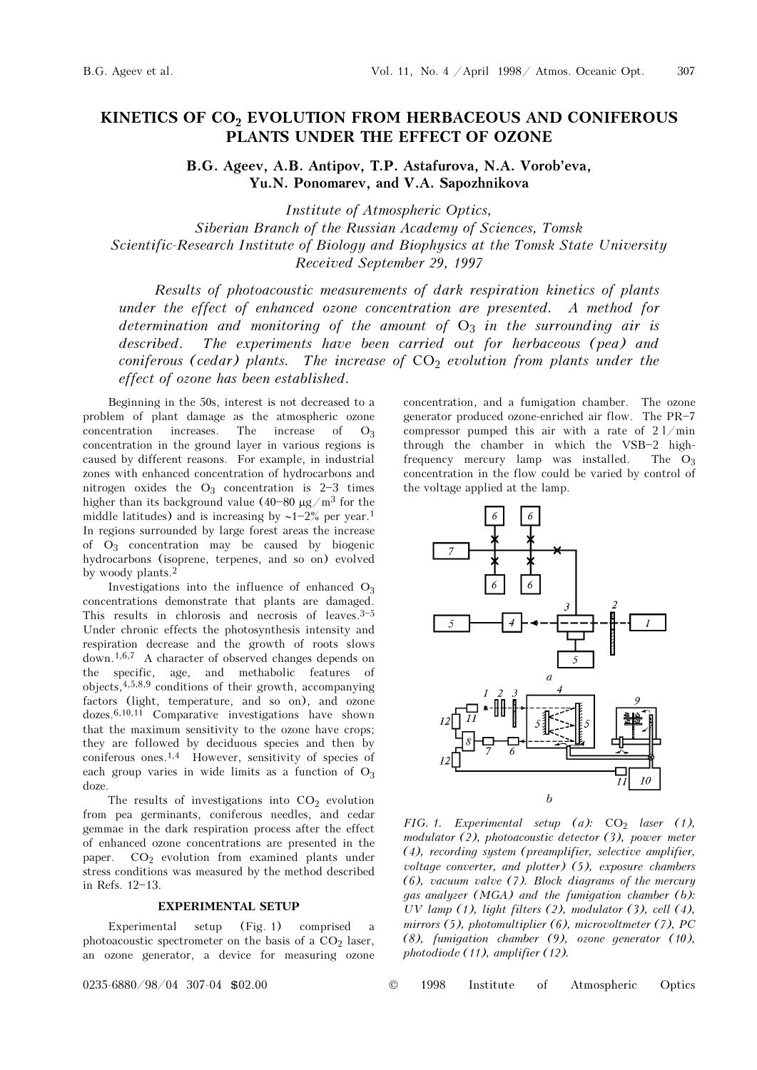# KINETICS OF CO<sub>2</sub> EVOLUTION FROM HERBACEOUS AND CONIFEROUS PLANTS UNDER THE EFFECT OF OZONE

B.G. Ageev, A.B. Antipov, T.P. Astafurova, N.A. Vorob'eva, Yu.N. Ponomarev, and V.A. Sapozhnikova

Institute of Atmospheric Optics, Siberian Branch of the Russian Academy of Sciences, Tomsk Scientific-Research Institute of Biology and Biophysics at the Tomsk State University Received September 29, 1997

Results of photoacoustic measurements of dark respiration kinetics of plants under the effect of enhanced ozone concentration are presented. A method for determination and monitoring of the amount of  $O_3$  in the surrounding air is described. The experiments have been carried out for herbaceous (pea) and coniferous (cedar) plants. The increase of  $CO<sub>2</sub>$  evolution from plants under the effect of ozone has been established.

Beginning in the 50s, interest is not decreased to a problem of plant damage as the atmospheric ozone concentration increases. The increase of  $O_3$ concentration in the ground layer in various regions is caused by different reasons. For example, in industrial zones with enhanced concentration of hydrocarbons and nitrogen oxides the  $O_3$  concentration is 2-3 times higher than its background value  $(40-80 \mu g/m^3$  for the middle latitudes) and is increasing by  $~1-2\%$  per year.<sup>1</sup> In regions surrounded by large forest areas the increase of  $O_3$  concentration may be caused by biogenic hydrocarbons (isoprene, terpenes, and so on) evolved by woody plants.<sup>2</sup>

Investigations into the influence of enhanced  $O_3$ concentrations demonstrate that plants are damaged. This results in chlorosis and necrosis of leaves.  $3-5$ Under chronic effects the photosynthesis intensity and respiration decrease and the growth of roots slows down.1,6,7 A character of observed changes depends on the specific, age, and methabolic features of objects,4,5,8,9 conditions of their growth, accompanying factors (light, temperature, and so on), and ozone dozes.6,10,11 Comparative investigations have shown that the maximum sensitivity to the ozone have crops; they are followed by deciduous species and then by coniferous ones.1,4 However, sensitivity of species of each group varies in wide limits as a function of  $O_3$ doze.

The results of investigations into  $CO<sub>2</sub>$  evolution from pea germinants, coniferous needles, and cedar gemmae in the dark respiration process after the effect of enhanced ozone concentrations are presented in the paper.  $CO<sub>2</sub>$  evolution from examined plants under stress conditions was measured by the method described in Refs. 12-13.

#### EXPERIMENTAL SETUP

Experimental setup (Fig. 1) comprised a photoacoustic spectrometer on the basis of a  $CO<sub>2</sub>$  laser, an ozone generator, a device for measuring ozone

concentration, and a fumigation chamber. The ozone generator produced ozone-enriched air flow. The  $PR-7$ compressor pumped this air with a rate of  $2 \frac{1}{\text{min}}$ through the chamber in which the  $VSB-2$  highfrequency mercury lamp was installed. The  $O_3$ concentration in the flow could be varied by control of the voltage applied at the lamp.



FIG. 1. Experimental setup (a):  $CO<sub>2</sub>$  laser (1), modulator (2), photoacoustic detector (3), power meter (4), recording system (preamplifier, selective amplifier, voltage converter, and plotter) (5), exposure chambers (6), vacuum valve (7). Block diagrams of the mercury gas analyzer (MGA) and the fumigation chamber (b): UV lamp (1), light filters (2), modulator (3), cell (4), mirrors (5), photomultiplier (6), microvoltmeter (7), PC (8), fumigation chamber (9), ozone generator (10), photodiode (11), amplifier (12).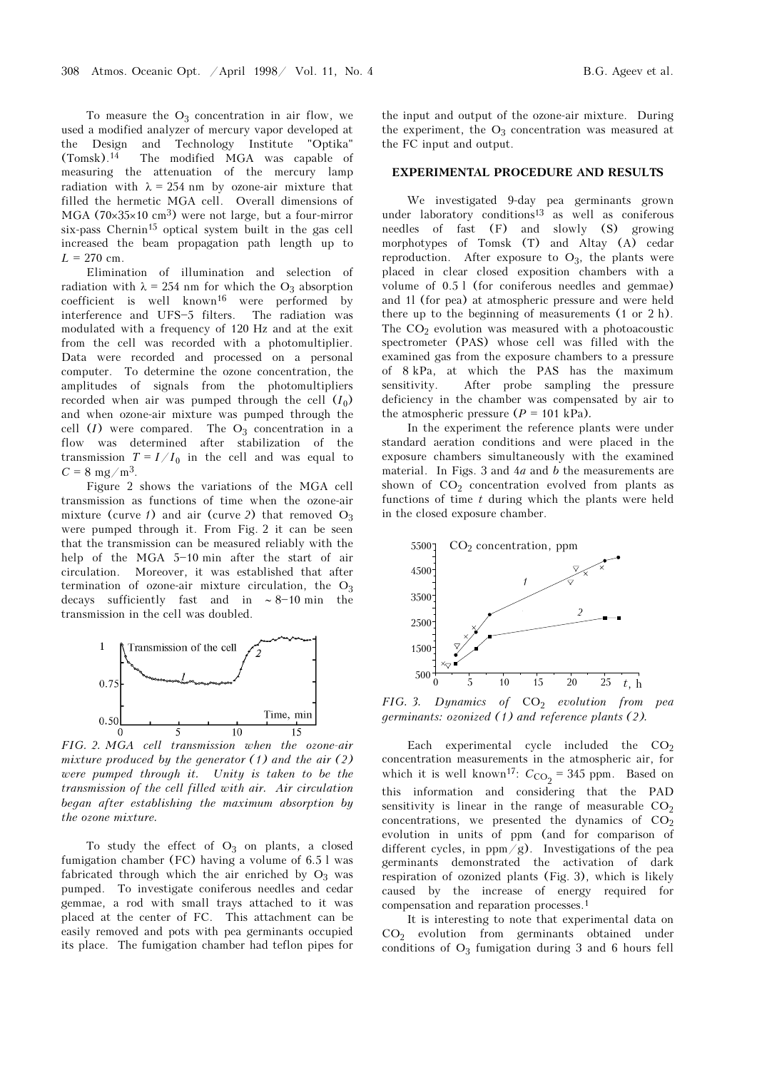To measure the  $O_3$  concentration in air flow, we used a modified analyzer of mercury vapor developed at the Design and Technology Institute "Optika" (Tomsk).14 The modified MGA was capable of measuring the attenuation of the mercury lamp radiation with  $\lambda = 254$  nm by ozone-air mixture that filled the hermetic MGA cell. Overall dimensions of MGA (70×35×10 cm<sup>3</sup>) were not large, but a four-mirror six-pass Chernin<sup>15</sup> optical system built in the gas cell increased the beam propagation path length up to  $L = 270$  cm.

Elimination of illumination and selection of radiation with  $\lambda = 254$  nm for which the O<sub>3</sub> absorption coefficient is well known16 were performed by interference and UFS-5 filters. The radiation was modulated with a frequency of 120 Hz and at the exit from the cell was recorded with a photomultiplier. Data were recorded and processed on a personal computer. To determine the ozone concentration, the amplitudes of signals from the photomultipliers recorded when air was pumped through the cell  $(I_0)$ and when ozone-air mixture was pumped through the cell  $(I)$  were compared. The  $O_3$  concentration in a flow was determined after stabilization of the transmission  $T = I/I_0$  in the cell and was equal to  $C = 8$  mg/m<sup>3</sup>.

Figure 2 shows the variations of the MGA cell transmission as functions of time when the ozone-air mixture (curve 1) and air (curve 2) that removed  $O_3$ were pumped through it. From Fig. 2 it can be seen that the transmission can be measured reliably with the help of the MGA  $5-10$  min after the start of air circulation. Moreover, it was established that after termination of ozone-air mixture circulation, the  $O_3$ decays sufficiently fast and in  $~\sim 8-10$  min the transmission in the cell was doubled.



FIG. 2. MGA cell transmission when the ozone-air mixture produced by the generator  $(1)$  and the air  $(2)$ were pumped through it. Unity is taken to be the transmission of the cell filled with air. Air circulation began after establishing the maximum absorption by the ozone mixture.

To study the effect of  $O_3$  on plants, a closed fumigation chamber (FC) having a volume of 6.5 l was fabricated through which the air enriched by  $O_3$  was pumped. To investigate coniferous needles and cedar gemmae, a rod with small trays attached to it was placed at the center of FC. This attachment can be easily removed and pots with pea germinants occupied its place. The fumigation chamber had teflon pipes for the input and output of the ozone-air mixture. During the experiment, the  $O_3$  concentration was measured at the FC input and output.

### EXPERIMENTAL PROCEDURE AND RESULTS

We investigated 9-day pea germinants grown under laboratory conditions<sup>13</sup> as well as coniferous needles of fast (F) and slowly (S) growing morphotypes of Tomsk (T) and Altay (A) cedar reproduction. After exposure to  $O_3$ , the plants were placed in clear closed exposition chambers with a volume of 0.5 l (for coniferous needles and gemmae) and 1l (for pea) at atmospheric pressure and were held there up to the beginning of measurements (1 or 2 h). The  $CO<sub>2</sub>$  evolution was measured with a photoacoustic spectrometer (PAS) whose cell was filled with the examined gas from the exposure chambers to a pressure of 8 kPa, at which the PAS has the maximum sensitivity. After probe sampling the pressure deficiency in the chamber was compensated by air to the atmospheric pressure  $(P = 101 \text{ kPa})$ .

In the experiment the reference plants were under standard aeration conditions and were placed in the exposure chambers simultaneously with the examined material. In Figs. 3 and  $4a$  and b the measurements are shown of  $CO<sub>2</sub>$  concentration evolved from plants as functions of time  $t$  during which the plants were held in the closed exposure chamber.



FIG. 3. Dynamics of  $CO<sub>2</sub>$  evolution from pea germinants: ozonized (1) and reference plants (2).

Each experimental cycle included the  $CO<sub>2</sub>$ concentration measurements in the atmospheric air, for which it is well known<sup>17</sup>:  $C_{CO_2} = 345$  ppm. Based on this information and considering that the PAD sensitivity is linear in the range of measurable  $CO<sub>2</sub>$ concentrations, we presented the dynamics of  $CO<sub>2</sub>$ evolution in units of ppm (and for comparison of different cycles, in  $ppm/g$ ). Investigations of the pea germinants demonstrated the activation of dark respiration of ozonized plants (Fig. 3), which is likely caused by the increase of energy required for compensation and reparation processes.<sup>1</sup>

It is interesting to note that experimental data on  $CO<sub>2</sub>$  evolution from germinants obtained under conditions of  $O_3$  fumigation during 3 and 6 hours fell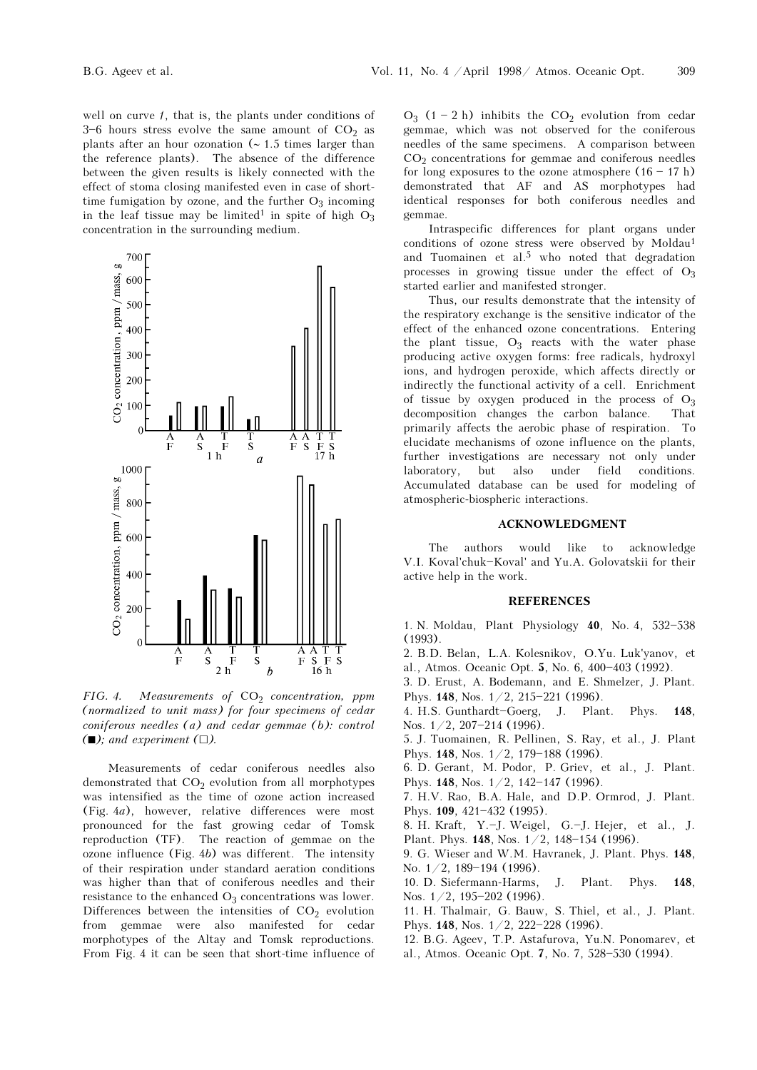well on curve 1, that is, the plants under conditions of  $3-6$  hours stress evolve the same amount of  $CO<sub>2</sub>$  as plants after an hour ozonation (∼ 1.5 times larger than the reference plants). The absence of the difference between the given results is likely connected with the effect of stoma closing manifested even in case of shorttime fumigation by ozone, and the further  $O_3$  incoming in the leaf tissue may be limited<sup>1</sup> in spite of high  $O_3$ concentration in the surrounding medium.



FIG. 4. Measurements of  $CO<sub>2</sub>$  concentration, ppm (normalized to unit mass) for four specimens of cedar coniferous needles (a) and cedar gemmae (b): control  $(\blacksquare)$ ; and experiment  $(\square)$ .

Measurements of cedar coniferous needles also demonstrated that  $CO<sub>2</sub>$  evolution from all morphotypes was intensified as the time of ozone action increased (Fig. 4a), however, relative differences were most pronounced for the fast growing cedar of Tomsk reproduction (TF). The reaction of gemmae on the ozone influence (Fig. 4b) was different. The intensity of their respiration under standard aeration conditions was higher than that of coniferous needles and their resistance to the enhanced  $O_3$  concentrations was lower. Differences between the intensities of  $CO<sub>2</sub>$  evolution from gemmae were also manifested for cedar morphotypes of the Altay and Tomsk reproductions. From Fig. 4 it can be seen that short-time influence of  $O_3$  (1 - 2 h) inhibits the  $CO_2$  evolution from cedar gemmae, which was not observed for the coniferous needles of the same specimens. A comparison between CO2 concentrations for gemmae and coniferous needles for long exposures to the ozone atmosphere  $(16 - 17 h)$ demonstrated that AF and AS morphotypes had identical responses for both coniferous needles and gemmae.

Intraspecific differences for plant organs under conditions of ozone stress were observed by Moldau<sup>1</sup> and Tuomainen et al.5 who noted that degradation processes in growing tissue under the effect of  $O_3$ started earlier and manifested stronger.

Thus, our results demonstrate that the intensity of the respiratory exchange is the sensitive indicator of the effect of the enhanced ozone concentrations. Entering the plant tissue,  $O_3$  reacts with the water phase producing active oxygen forms: free radicals, hydroxyl ions, and hydrogen peroxide, which affects directly or indirectly the functional activity of a cell. Enrichment of tissue by oxygen produced in the process of  $O_3$  decomposition changes the carbon balance. That decomposition changes the carbon balance. primarily affects the aerobic phase of respiration. To elucidate mechanisms of ozone influence on the plants, further investigations are necessary not only under laboratory, but also under field conditions. Accumulated database can be used for modeling of atmospheric-biospheric interactions.

### ACKNOWLEDGMENT

The authors would like to acknowledge V.I. Koval'chuk-Koval' and Yu.A. Golovatskii for their active help in the work.

## REFERENCES

1. N. Moldau, Plant Physiology  $40$ , No. 4, 532-538 (1993).

- 2. B.D. Belan, L.A. Kolesnikov, O.Yu. Luk'yanov, et al., Atmos. Oceanic Opt. 5, No. 6, 400-403 (1992).
- 3. D. Erust, A. Bodemann, and E. Shmelzer, J. Plant. Phys. 148, Nos.  $1/2$ , 215-221 (1996).
- 4. H.S. Gunthardt-Goerg, J. Plant. Phys. 148, Nos.  $1/2$ , 207-214 (1996).
- 5. J. Tuomainen, R. Pellinen, S. Ray, et al., J. Plant Phys. 148, Nos. 1/2, 179-188 (1996).
- 6. D. Gerant, M. Podor, P. Griev, et al., J. Plant. Phys. 148, Nos.  $1/2$ , 142-147 (1996).
- 7. H.V. Rao, B.A. Hale, and D.P. Ormrod, J. Plant. Phys. 109, 421-432 (1995).
- 8. H. Kraft, Y.-J. Weigel, G.-J. Hejer, et al., J. Plant. Phys. 148, Nos. 1/2, 148-154 (1996).
- 9. G. Wieser and W.M. Havranek, J. Plant. Phys. 148, No.  $1/2$ , 189-194 (1996).
- 10. D. Siefermann-Harms, J. Plant. Phys. 148, Nos.  $1/2$ , 195-202 (1996).
- 11. H. Thalmair, G. Bauw, S. Thiel, et al., J. Plant. Phys. 148, Nos.  $1/2$ , 222-228 (1996).
- 12. B.G. Ageev, T.P. Astafurova, Yu.N. Ponomarev, et al., Atmos. Oceanic Opt. 7, No. 7, 528-530 (1994).